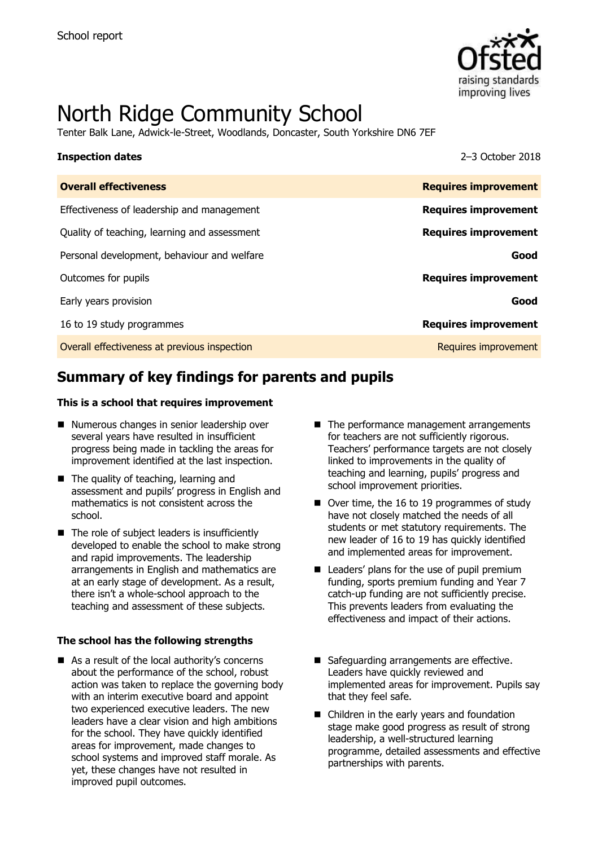

# North Ridge Community School

Tenter Balk Lane, Adwick-le-Street, Woodlands, Doncaster, South Yorkshire DN6 7EF

### **Inspection dates** 2–3 October 2018

| <b>Overall effectiveness</b>                 | <b>Requires improvement</b> |
|----------------------------------------------|-----------------------------|
| Effectiveness of leadership and management   | <b>Requires improvement</b> |
| Quality of teaching, learning and assessment | <b>Requires improvement</b> |
| Personal development, behaviour and welfare  | Good                        |
| Outcomes for pupils                          | <b>Requires improvement</b> |
| Early years provision                        | Good                        |
| 16 to 19 study programmes                    | <b>Requires improvement</b> |
| Overall effectiveness at previous inspection | Requires improvement        |
|                                              |                             |

# **Summary of key findings for parents and pupils**

### **This is a school that requires improvement**

- Numerous changes in senior leadership over several years have resulted in insufficient progress being made in tackling the areas for improvement identified at the last inspection.
- The quality of teaching, learning and assessment and pupils' progress in English and mathematics is not consistent across the school.
- $\blacksquare$  The role of subject leaders is insufficiently developed to enable the school to make strong and rapid improvements. The leadership arrangements in English and mathematics are at an early stage of development. As a result, there isn't a whole-school approach to the teaching and assessment of these subjects.

### **The school has the following strengths**

■ As a result of the local authority's concerns about the performance of the school, robust action was taken to replace the governing body with an interim executive board and appoint two experienced executive leaders. The new leaders have a clear vision and high ambitions for the school. They have quickly identified areas for improvement, made changes to school systems and improved staff morale. As yet, these changes have not resulted in improved pupil outcomes.

- The performance management arrangements for teachers are not sufficiently rigorous. Teachers' performance targets are not closely linked to improvements in the quality of teaching and learning, pupils' progress and school improvement priorities.
- Over time, the 16 to 19 programmes of study have not closely matched the needs of all students or met statutory requirements. The new leader of 16 to 19 has quickly identified and implemented areas for improvement.
- Leaders' plans for the use of pupil premium funding, sports premium funding and Year 7 catch-up funding are not sufficiently precise. This prevents leaders from evaluating the effectiveness and impact of their actions.
- Safeguarding arrangements are effective. Leaders have quickly reviewed and implemented areas for improvement. Pupils say that they feel safe.
- Children in the early years and foundation stage make good progress as result of strong leadership, a well-structured learning programme, detailed assessments and effective partnerships with parents.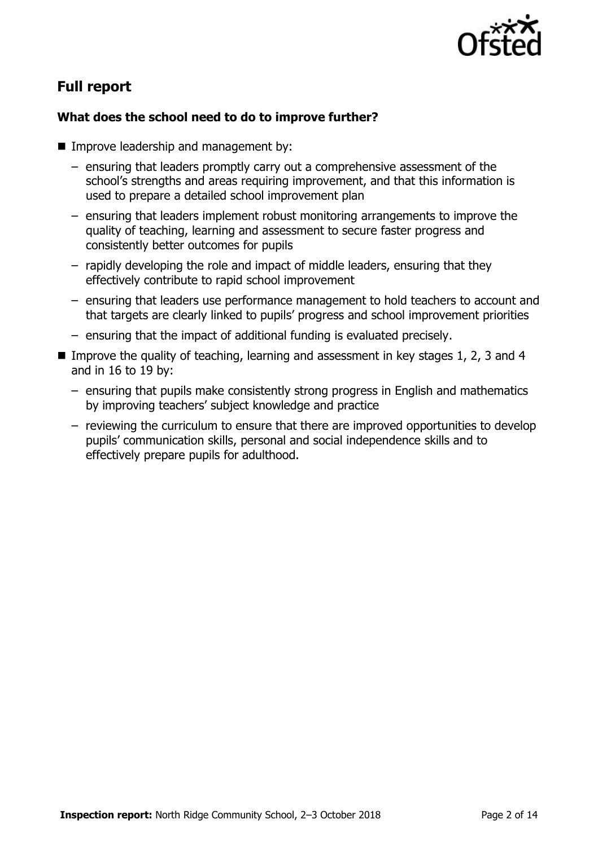

# **Full report**

### **What does the school need to do to improve further?**

- **Improve leadership and management by:** 
	- ensuring that leaders promptly carry out a comprehensive assessment of the school's strengths and areas requiring improvement, and that this information is used to prepare a detailed school improvement plan
	- ensuring that leaders implement robust monitoring arrangements to improve the quality of teaching, learning and assessment to secure faster progress and consistently better outcomes for pupils
	- rapidly developing the role and impact of middle leaders, ensuring that they effectively contribute to rapid school improvement
	- ensuring that leaders use performance management to hold teachers to account and that targets are clearly linked to pupils' progress and school improvement priorities
	- ensuring that the impact of additional funding is evaluated precisely.
- Improve the quality of teaching, learning and assessment in key stages 1, 2, 3 and 4 and in 16 to 19 by:
	- ensuring that pupils make consistently strong progress in English and mathematics by improving teachers' subject knowledge and practice
	- reviewing the curriculum to ensure that there are improved opportunities to develop pupils' communication skills, personal and social independence skills and to effectively prepare pupils for adulthood.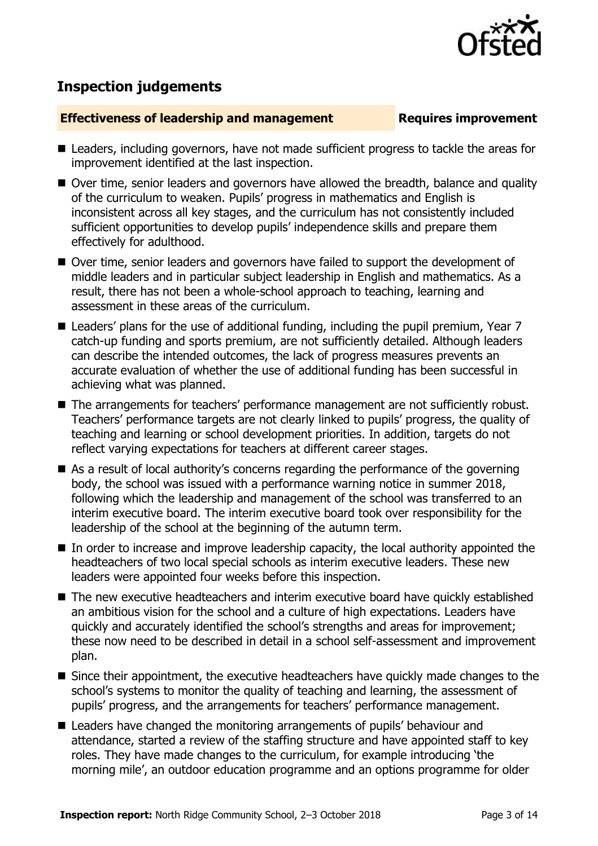

# **Inspection judgements**

### **Effectiveness of leadership and management Requires improvement**

- Leaders, including governors, have not made sufficient progress to tackle the areas for improvement identified at the last inspection.
- Over time, senior leaders and governors have allowed the breadth, balance and quality of the curriculum to weaken. Pupils' progress in mathematics and English is inconsistent across all key stages, and the curriculum has not consistently included sufficient opportunities to develop pupils' independence skills and prepare them effectively for adulthood.
- Over time, senior leaders and governors have failed to support the development of middle leaders and in particular subject leadership in English and mathematics. As a result, there has not been a whole-school approach to teaching, learning and assessment in these areas of the curriculum.
- Leaders' plans for the use of additional funding, including the pupil premium, Year 7 catch-up funding and sports premium, are not sufficiently detailed. Although leaders can describe the intended outcomes, the lack of progress measures prevents an accurate evaluation of whether the use of additional funding has been successful in achieving what was planned.
- The arrangements for teachers' performance management are not sufficiently robust. Teachers' performance targets are not clearly linked to pupils' progress, the quality of teaching and learning or school development priorities. In addition, targets do not reflect varying expectations for teachers at different career stages.
- As a result of local authority's concerns regarding the performance of the governing body, the school was issued with a performance warning notice in summer 2018, following which the leadership and management of the school was transferred to an interim executive board. The interim executive board took over responsibility for the leadership of the school at the beginning of the autumn term.
- In order to increase and improve leadership capacity, the local authority appointed the headteachers of two local special schools as interim executive leaders. These new leaders were appointed four weeks before this inspection.
- The new executive headteachers and interim executive board have quickly established an ambitious vision for the school and a culture of high expectations. Leaders have quickly and accurately identified the school's strengths and areas for improvement; these now need to be described in detail in a school self-assessment and improvement plan.
- Since their appointment, the executive headteachers have quickly made changes to the school's systems to monitor the quality of teaching and learning, the assessment of pupils' progress, and the arrangements for teachers' performance management.
- Leaders have changed the monitoring arrangements of pupils' behaviour and attendance, started a review of the staffing structure and have appointed staff to key roles. They have made changes to the curriculum, for example introducing 'the morning mile', an outdoor education programme and an options programme for older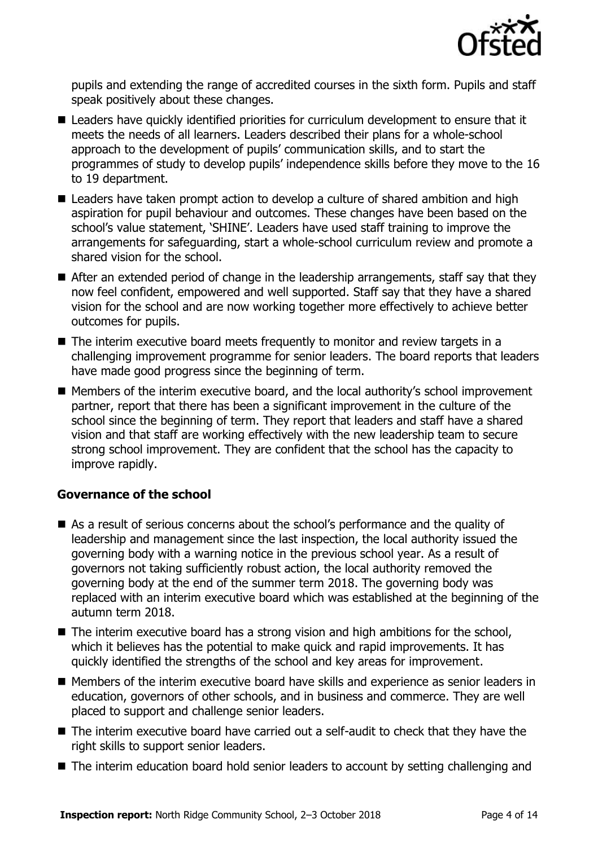

pupils and extending the range of accredited courses in the sixth form. Pupils and staff speak positively about these changes.

- Leaders have quickly identified priorities for curriculum development to ensure that it meets the needs of all learners. Leaders described their plans for a whole-school approach to the development of pupils' communication skills, and to start the programmes of study to develop pupils' independence skills before they move to the 16 to 19 department.
- Leaders have taken prompt action to develop a culture of shared ambition and high aspiration for pupil behaviour and outcomes. These changes have been based on the school's value statement, 'SHINE'. Leaders have used staff training to improve the arrangements for safeguarding, start a whole-school curriculum review and promote a shared vision for the school.
- After an extended period of change in the leadership arrangements, staff say that they now feel confident, empowered and well supported. Staff say that they have a shared vision for the school and are now working together more effectively to achieve better outcomes for pupils.
- The interim executive board meets frequently to monitor and review targets in a challenging improvement programme for senior leaders. The board reports that leaders have made good progress since the beginning of term.
- Members of the interim executive board, and the local authority's school improvement partner, report that there has been a significant improvement in the culture of the school since the beginning of term. They report that leaders and staff have a shared vision and that staff are working effectively with the new leadership team to secure strong school improvement. They are confident that the school has the capacity to improve rapidly.

### **Governance of the school**

- As a result of serious concerns about the school's performance and the quality of leadership and management since the last inspection, the local authority issued the governing body with a warning notice in the previous school year. As a result of governors not taking sufficiently robust action, the local authority removed the governing body at the end of the summer term 2018. The governing body was replaced with an interim executive board which was established at the beginning of the autumn term 2018.
- The interim executive board has a strong vision and high ambitions for the school, which it believes has the potential to make quick and rapid improvements. It has quickly identified the strengths of the school and key areas for improvement.
- Members of the interim executive board have skills and experience as senior leaders in education, governors of other schools, and in business and commerce. They are well placed to support and challenge senior leaders.
- The interim executive board have carried out a self-audit to check that they have the right skills to support senior leaders.
- The interim education board hold senior leaders to account by setting challenging and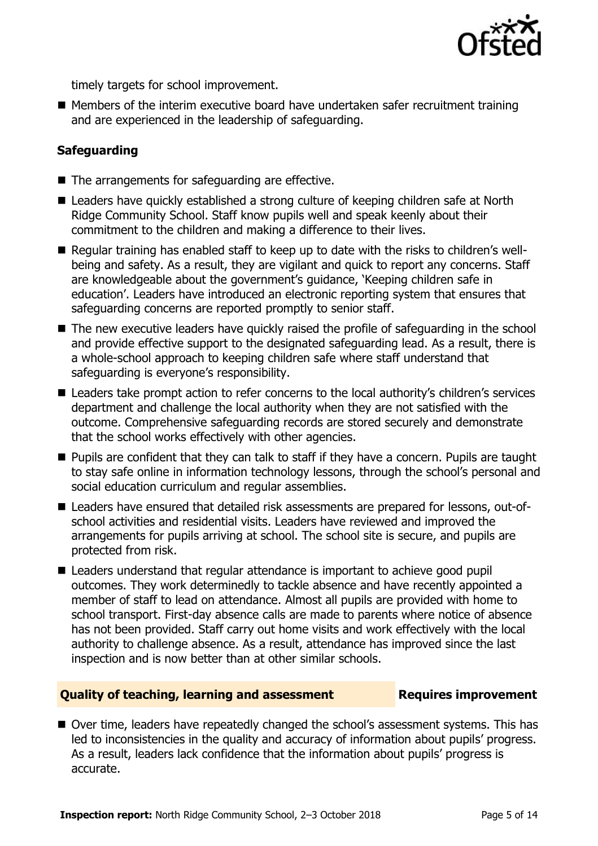

timely targets for school improvement.

 $\blacksquare$  Members of the interim executive board have undertaken safer recruitment training and are experienced in the leadership of safeguarding.

### **Safeguarding**

- The arrangements for safeguarding are effective.
- Leaders have quickly established a strong culture of keeping children safe at North Ridge Community School. Staff know pupils well and speak keenly about their commitment to the children and making a difference to their lives.
- Regular training has enabled staff to keep up to date with the risks to children's wellbeing and safety. As a result, they are vigilant and quick to report any concerns. Staff are knowledgeable about the government's guidance, 'Keeping children safe in education'. Leaders have introduced an electronic reporting system that ensures that safeguarding concerns are reported promptly to senior staff.
- The new executive leaders have quickly raised the profile of safeguarding in the school and provide effective support to the designated safeguarding lead. As a result, there is a whole-school approach to keeping children safe where staff understand that safeguarding is everyone's responsibility.
- Leaders take prompt action to refer concerns to the local authority's children's services department and challenge the local authority when they are not satisfied with the outcome. Comprehensive safeguarding records are stored securely and demonstrate that the school works effectively with other agencies.
- **Pupils are confident that they can talk to staff if they have a concern. Pupils are taught** to stay safe online in information technology lessons, through the school's personal and social education curriculum and regular assemblies.
- Leaders have ensured that detailed risk assessments are prepared for lessons, out-ofschool activities and residential visits. Leaders have reviewed and improved the arrangements for pupils arriving at school. The school site is secure, and pupils are protected from risk.
- Leaders understand that regular attendance is important to achieve good pupil outcomes. They work determinedly to tackle absence and have recently appointed a member of staff to lead on attendance. Almost all pupils are provided with home to school transport. First-day absence calls are made to parents where notice of absence has not been provided. Staff carry out home visits and work effectively with the local authority to challenge absence. As a result, attendance has improved since the last inspection and is now better than at other similar schools.

### **Quality of teaching, learning and assessment Fig. 2.1 Requires improvement**

■ Over time, leaders have repeatedly changed the school's assessment systems. This has led to inconsistencies in the quality and accuracy of information about pupils' progress. As a result, leaders lack confidence that the information about pupils' progress is accurate.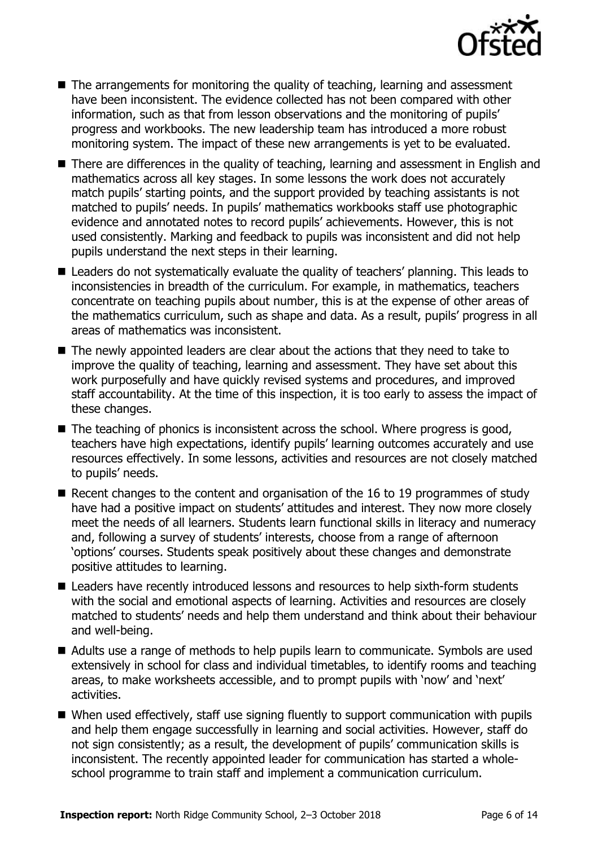

- The arrangements for monitoring the quality of teaching, learning and assessment have been inconsistent. The evidence collected has not been compared with other information, such as that from lesson observations and the monitoring of pupils' progress and workbooks. The new leadership team has introduced a more robust monitoring system. The impact of these new arrangements is yet to be evaluated.
- There are differences in the quality of teaching, learning and assessment in English and mathematics across all key stages. In some lessons the work does not accurately match pupils' starting points, and the support provided by teaching assistants is not matched to pupils' needs. In pupils' mathematics workbooks staff use photographic evidence and annotated notes to record pupils' achievements. However, this is not used consistently. Marking and feedback to pupils was inconsistent and did not help pupils understand the next steps in their learning.
- Leaders do not systematically evaluate the quality of teachers' planning. This leads to inconsistencies in breadth of the curriculum. For example, in mathematics, teachers concentrate on teaching pupils about number, this is at the expense of other areas of the mathematics curriculum, such as shape and data. As a result, pupils' progress in all areas of mathematics was inconsistent.
- The newly appointed leaders are clear about the actions that they need to take to improve the quality of teaching, learning and assessment. They have set about this work purposefully and have quickly revised systems and procedures, and improved staff accountability. At the time of this inspection, it is too early to assess the impact of these changes.
- $\blacksquare$  The teaching of phonics is inconsistent across the school. Where progress is good, teachers have high expectations, identify pupils' learning outcomes accurately and use resources effectively. In some lessons, activities and resources are not closely matched to pupils' needs.
- Recent changes to the content and organisation of the 16 to 19 programmes of study have had a positive impact on students' attitudes and interest. They now more closely meet the needs of all learners. Students learn functional skills in literacy and numeracy and, following a survey of students' interests, choose from a range of afternoon 'options' courses. Students speak positively about these changes and demonstrate positive attitudes to learning.
- Leaders have recently introduced lessons and resources to help sixth-form students with the social and emotional aspects of learning. Activities and resources are closely matched to students' needs and help them understand and think about their behaviour and well-being.
- Adults use a range of methods to help pupils learn to communicate. Symbols are used extensively in school for class and individual timetables, to identify rooms and teaching areas, to make worksheets accessible, and to prompt pupils with 'now' and 'next' activities.
- When used effectively, staff use signing fluently to support communication with pupils and help them engage successfully in learning and social activities. However, staff do not sign consistently; as a result, the development of pupils' communication skills is inconsistent. The recently appointed leader for communication has started a wholeschool programme to train staff and implement a communication curriculum.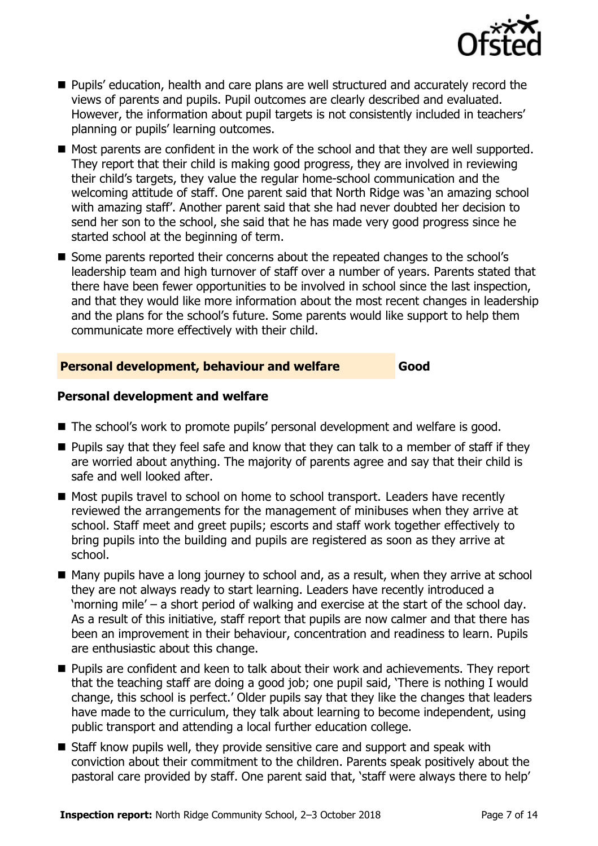

- Pupils' education, health and care plans are well structured and accurately record the views of parents and pupils. Pupil outcomes are clearly described and evaluated. However, the information about pupil targets is not consistently included in teachers' planning or pupils' learning outcomes.
- $\blacksquare$  Most parents are confident in the work of the school and that they are well supported. They report that their child is making good progress, they are involved in reviewing their child's targets, they value the regular home-school communication and the welcoming attitude of staff. One parent said that North Ridge was 'an amazing school with amazing staff'. Another parent said that she had never doubted her decision to send her son to the school, she said that he has made very good progress since he started school at the beginning of term.
- Some parents reported their concerns about the repeated changes to the school's leadership team and high turnover of staff over a number of years. Parents stated that there have been fewer opportunities to be involved in school since the last inspection, and that they would like more information about the most recent changes in leadership and the plans for the school's future. Some parents would like support to help them communicate more effectively with their child.

### **Personal development, behaviour and welfare Good**

### **Personal development and welfare**

- The school's work to promote pupils' personal development and welfare is good.
- $\blacksquare$  Pupils say that they feel safe and know that they can talk to a member of staff if they are worried about anything. The majority of parents agree and say that their child is safe and well looked after.
- Most pupils travel to school on home to school transport. Leaders have recently reviewed the arrangements for the management of minibuses when they arrive at school. Staff meet and greet pupils; escorts and staff work together effectively to bring pupils into the building and pupils are registered as soon as they arrive at school.
- Many pupils have a long journey to school and, as a result, when they arrive at school they are not always ready to start learning. Leaders have recently introduced a 'morning mile' – a short period of walking and exercise at the start of the school day. As a result of this initiative, staff report that pupils are now calmer and that there has been an improvement in their behaviour, concentration and readiness to learn. Pupils are enthusiastic about this change.
- **Pupils are confident and keen to talk about their work and achievements. They report** that the teaching staff are doing a good job; one pupil said, 'There is nothing I would change, this school is perfect.' Older pupils say that they like the changes that leaders have made to the curriculum, they talk about learning to become independent, using public transport and attending a local further education college.
- Staff know pupils well, they provide sensitive care and support and speak with conviction about their commitment to the children. Parents speak positively about the pastoral care provided by staff. One parent said that, 'staff were always there to help'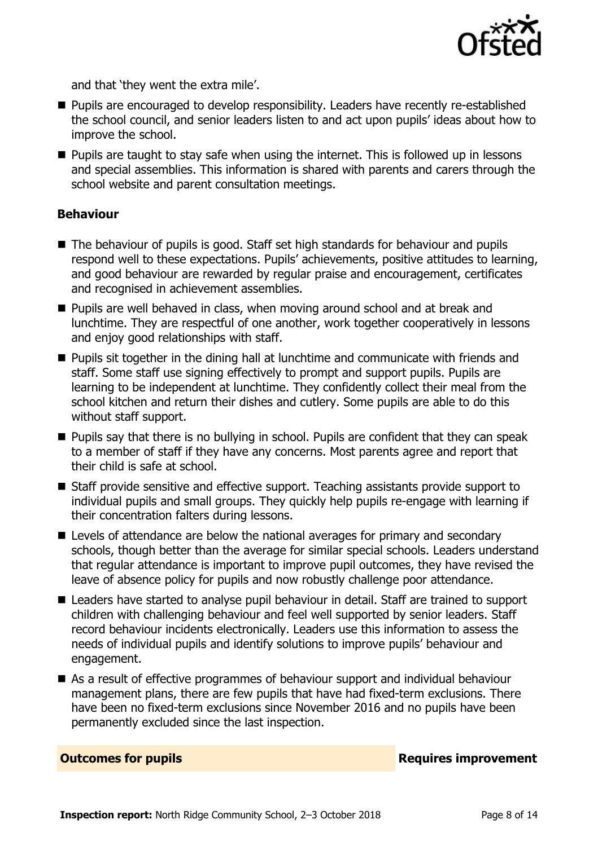

and that 'they went the extra mile'.

- Pupils are encouraged to develop responsibility. Leaders have recently re-established the school council, and senior leaders listen to and act upon pupils' ideas about how to improve the school.
- $\blacksquare$  Pupils are taught to stay safe when using the internet. This is followed up in lessons and special assemblies. This information is shared with parents and carers through the school website and parent consultation meetings.

### **Behaviour**

- The behaviour of pupils is good. Staff set high standards for behaviour and pupils respond well to these expectations. Pupils' achievements, positive attitudes to learning, and good behaviour are rewarded by regular praise and encouragement, certificates and recognised in achievement assemblies.
- **Pupils are well behaved in class, when moving around school and at break and** lunchtime. They are respectful of one another, work together cooperatively in lessons and enjoy good relationships with staff.
- **Pupils sit together in the dining hall at lunchtime and communicate with friends and** staff. Some staff use signing effectively to prompt and support pupils. Pupils are learning to be independent at lunchtime. They confidently collect their meal from the school kitchen and return their dishes and cutlery. Some pupils are able to do this without staff support.
- **Pupils say that there is no bullying in school. Pupils are confident that they can speak** to a member of staff if they have any concerns. Most parents agree and report that their child is safe at school.
- Staff provide sensitive and effective support. Teaching assistants provide support to individual pupils and small groups. They quickly help pupils re-engage with learning if their concentration falters during lessons.
- Levels of attendance are below the national averages for primary and secondary schools, though better than the average for similar special schools. Leaders understand that regular attendance is important to improve pupil outcomes, they have revised the leave of absence policy for pupils and now robustly challenge poor attendance.
- Leaders have started to analyse pupil behaviour in detail. Staff are trained to support children with challenging behaviour and feel well supported by senior leaders. Staff record behaviour incidents electronically. Leaders use this information to assess the needs of individual pupils and identify solutions to improve pupils' behaviour and engagement.
- As a result of effective programmes of behaviour support and individual behaviour management plans, there are few pupils that have had fixed-term exclusions. There have been no fixed-term exclusions since November 2016 and no pupils have been permanently excluded since the last inspection.

**Outcomes for pupils Requires improvement**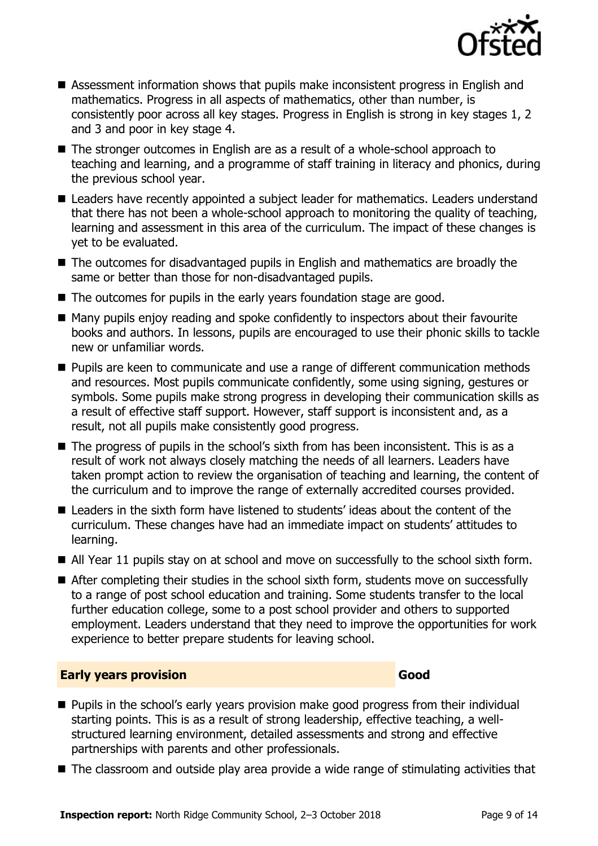

- Assessment information shows that pupils make inconsistent progress in English and mathematics. Progress in all aspects of mathematics, other than number, is consistently poor across all key stages. Progress in English is strong in key stages 1, 2 and 3 and poor in key stage 4.
- The stronger outcomes in English are as a result of a whole-school approach to teaching and learning, and a programme of staff training in literacy and phonics, during the previous school year.
- Leaders have recently appointed a subject leader for mathematics. Leaders understand that there has not been a whole-school approach to monitoring the quality of teaching, learning and assessment in this area of the curriculum. The impact of these changes is yet to be evaluated.
- The outcomes for disadvantaged pupils in English and mathematics are broadly the same or better than those for non-disadvantaged pupils.
- The outcomes for pupils in the early years foundation stage are good.
- Many pupils enjoy reading and spoke confidently to inspectors about their favourite books and authors. In lessons, pupils are encouraged to use their phonic skills to tackle new or unfamiliar words.
- **Pupils are keen to communicate and use a range of different communication methods** and resources. Most pupils communicate confidently, some using signing, gestures or symbols. Some pupils make strong progress in developing their communication skills as a result of effective staff support. However, staff support is inconsistent and, as a result, not all pupils make consistently good progress.
- The progress of pupils in the school's sixth from has been inconsistent. This is as a result of work not always closely matching the needs of all learners. Leaders have taken prompt action to review the organisation of teaching and learning, the content of the curriculum and to improve the range of externally accredited courses provided.
- Leaders in the sixth form have listened to students' ideas about the content of the curriculum. These changes have had an immediate impact on students' attitudes to learning.
- All Year 11 pupils stay on at school and move on successfully to the school sixth form.
- After completing their studies in the school sixth form, students move on successfully to a range of post school education and training. Some students transfer to the local further education college, some to a post school provider and others to supported employment. Leaders understand that they need to improve the opportunities for work experience to better prepare students for leaving school.

### **Early years provision Good Good**

- **Pupils in the school's early years provision make good progress from their individual** starting points. This is as a result of strong leadership, effective teaching, a wellstructured learning environment, detailed assessments and strong and effective partnerships with parents and other professionals.
- The classroom and outside play area provide a wide range of stimulating activities that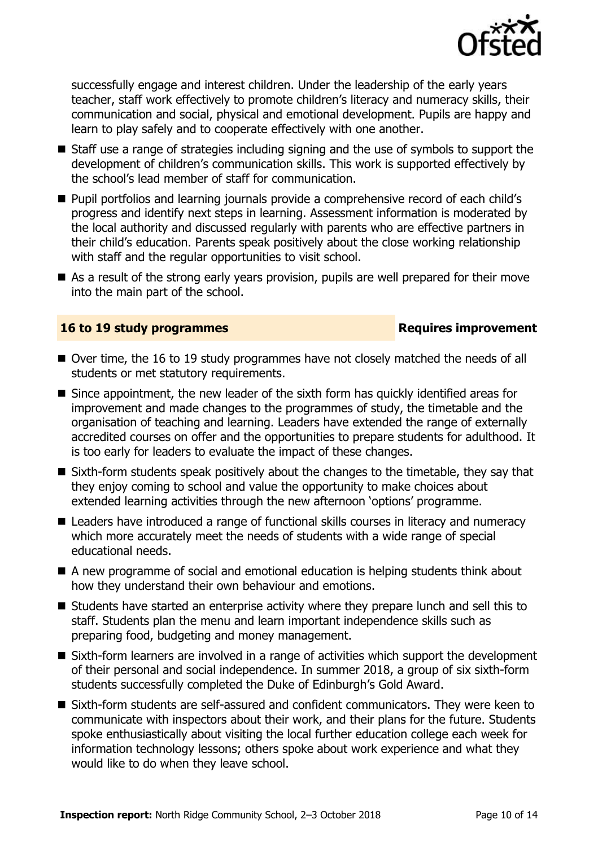

successfully engage and interest children. Under the leadership of the early years teacher, staff work effectively to promote children's literacy and numeracy skills, their communication and social, physical and emotional development. Pupils are happy and learn to play safely and to cooperate effectively with one another.

- Staff use a range of strategies including signing and the use of symbols to support the development of children's communication skills. This work is supported effectively by the school's lead member of staff for communication.
- **Pupil portfolios and learning journals provide a comprehensive record of each child's** progress and identify next steps in learning. Assessment information is moderated by the local authority and discussed regularly with parents who are effective partners in their child's education. Parents speak positively about the close working relationship with staff and the regular opportunities to visit school.
- As a result of the strong early years provision, pupils are well prepared for their move into the main part of the school.

### **16 to 19 study programmes Requires improvement**

- Over time, the 16 to 19 study programmes have not closely matched the needs of all students or met statutory requirements.
- Since appointment, the new leader of the sixth form has quickly identified areas for improvement and made changes to the programmes of study, the timetable and the organisation of teaching and learning. Leaders have extended the range of externally accredited courses on offer and the opportunities to prepare students for adulthood. It is too early for leaders to evaluate the impact of these changes.
- Sixth-form students speak positively about the changes to the timetable, they say that they enjoy coming to school and value the opportunity to make choices about extended learning activities through the new afternoon 'options' programme.
- Leaders have introduced a range of functional skills courses in literacy and numeracy which more accurately meet the needs of students with a wide range of special educational needs.
- A new programme of social and emotional education is helping students think about how they understand their own behaviour and emotions.
- Students have started an enterprise activity where they prepare lunch and sell this to staff. Students plan the menu and learn important independence skills such as preparing food, budgeting and money management.
- Sixth-form learners are involved in a range of activities which support the development of their personal and social independence. In summer 2018, a group of six sixth-form students successfully completed the Duke of Edinburgh's Gold Award.
- Sixth-form students are self-assured and confident communicators. They were keen to communicate with inspectors about their work, and their plans for the future. Students spoke enthusiastically about visiting the local further education college each week for information technology lessons; others spoke about work experience and what they would like to do when they leave school.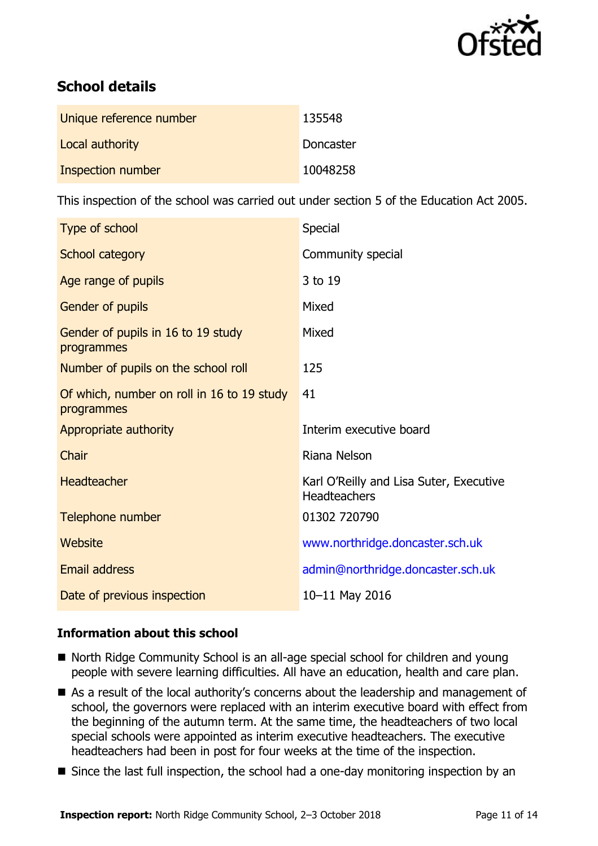

# **School details**

| Unique reference number | 135548    |
|-------------------------|-----------|
| Local authority         | Doncaster |
| Inspection number       | 10048258  |

This inspection of the school was carried out under section 5 of the Education Act 2005.

| Type of school                                           | <b>Special</b>                                                 |
|----------------------------------------------------------|----------------------------------------------------------------|
| School category                                          | Community special                                              |
| Age range of pupils                                      | 3 to 19                                                        |
| Gender of pupils                                         | Mixed                                                          |
| Gender of pupils in 16 to 19 study<br>programmes         | Mixed                                                          |
| Number of pupils on the school roll                      | 125                                                            |
| Of which, number on roll in 16 to 19 study<br>programmes | 41                                                             |
| Appropriate authority                                    | Interim executive board                                        |
| Chair                                                    | Riana Nelson                                                   |
| <b>Headteacher</b>                                       | Karl O'Reilly and Lisa Suter, Executive<br><b>Headteachers</b> |
| Telephone number                                         | 01302 720790                                                   |
| Website                                                  | www.northridge.doncaster.sch.uk                                |
| <b>Email address</b>                                     | admin@northridge.doncaster.sch.uk                              |
| Date of previous inspection                              | 10-11 May 2016                                                 |

### **Information about this school**

- North Ridge Community School is an all-age special school for children and young people with severe learning difficulties. All have an education, health and care plan.
- As a result of the local authority's concerns about the leadership and management of school, the governors were replaced with an interim executive board with effect from the beginning of the autumn term. At the same time, the headteachers of two local special schools were appointed as interim executive headteachers. The executive headteachers had been in post for four weeks at the time of the inspection.
- Since the last full inspection, the school had a one-day monitoring inspection by an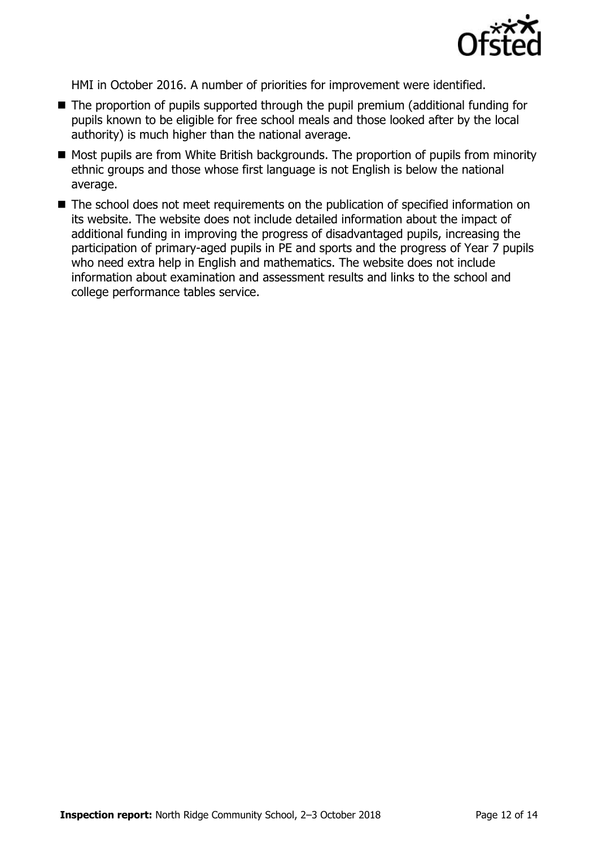

HMI in October 2016. A number of priorities for improvement were identified.

- The proportion of pupils supported through the pupil premium (additional funding for pupils known to be eligible for free school meals and those looked after by the local authority) is much higher than the national average.
- Most pupils are from White British backgrounds. The proportion of pupils from minority ethnic groups and those whose first language is not English is below the national average.
- The school does not meet requirements on the publication of specified information on its website. The website does not include detailed information about the impact of additional funding in improving the progress of disadvantaged pupils, increasing the participation of primary-aged pupils in PE and sports and the progress of Year 7 pupils who need extra help in English and mathematics. The website does not include information about examination and assessment results and links to the school and college performance tables service.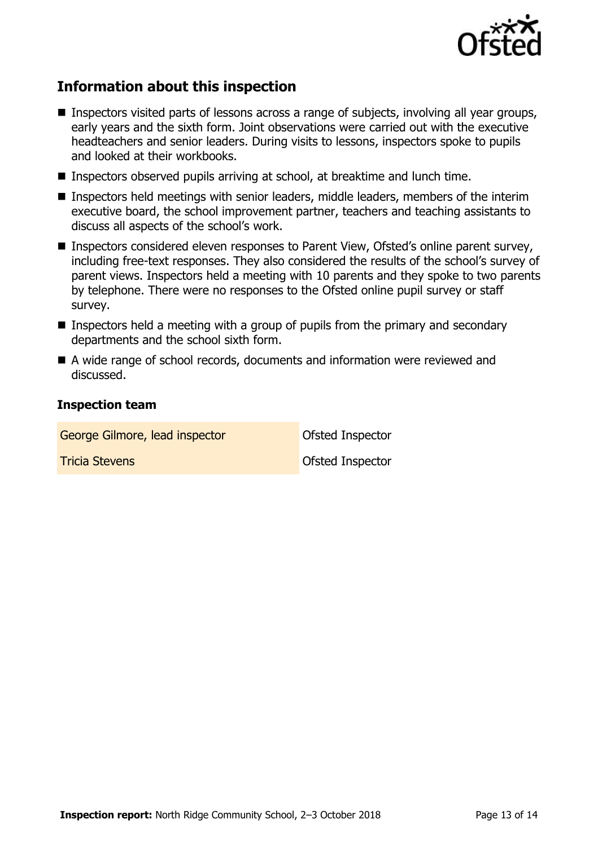

# **Information about this inspection**

- **Inspectors visited parts of lessons across a range of subjects, involving all year groups,** early years and the sixth form. Joint observations were carried out with the executive headteachers and senior leaders. During visits to lessons, inspectors spoke to pupils and looked at their workbooks.
- Inspectors observed pupils arriving at school, at breaktime and lunch time.
- Inspectors held meetings with senior leaders, middle leaders, members of the interim executive board, the school improvement partner, teachers and teaching assistants to discuss all aspects of the school's work.
- Inspectors considered eleven responses to Parent View, Ofsted's online parent survey, including free-text responses. They also considered the results of the school's survey of parent views. Inspectors held a meeting with 10 parents and they spoke to two parents by telephone. There were no responses to the Ofsted online pupil survey or staff survey.
- **Inspectors held a meeting with a group of pupils from the primary and secondary** departments and the school sixth form.
- A wide range of school records, documents and information were reviewed and discussed.

### **Inspection team**

George Gilmore, lead inspector **Contact Contact Contact Contact Contact Contact Contact Contact Contact Contact Tricia Stevens Contract Inspector Ofsted Inspector**